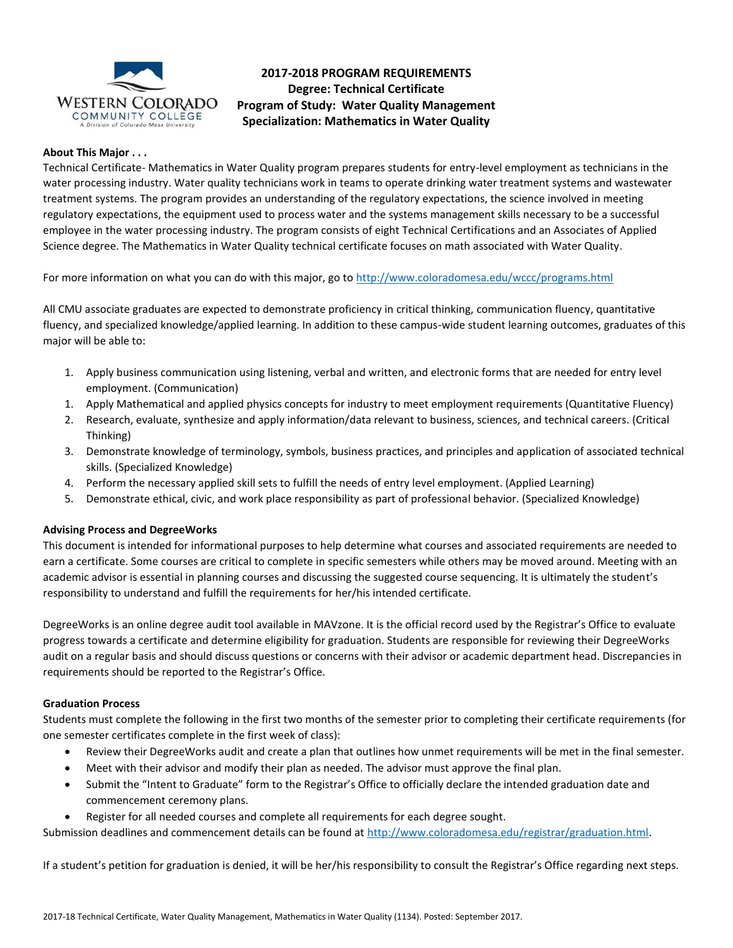

**2017-2018 PROGRAM REQUIREMENTS Degree: Technical Certificate Program of Study: Water Quality Management Specialization: Mathematics in Water Quality**

## **About This Major . . .**

Technical Certificate- Mathematics in Water Quality program prepares students for entry-level employment as technicians in the water processing industry. Water quality technicians work in teams to operate drinking water treatment systems and wastewater treatment systems. The program provides an understanding of the regulatory expectations, the science involved in meeting regulatory expectations, the equipment used to process water and the systems management skills necessary to be a successful employee in the water processing industry. The program consists of eight Technical Certifications and an Associates of Applied Science degree. The Mathematics in Water Quality technical certificate focuses on math associated with Water Quality.

For more information on what you can do with this major, go t[o http://www.coloradomesa.edu/wccc/programs.html](http://www.coloradomesa.edu/wccc/programs.html)

All CMU associate graduates are expected to demonstrate proficiency in critical thinking, communication fluency, quantitative fluency, and specialized knowledge/applied learning. In addition to these campus-wide student learning outcomes, graduates of this major will be able to:

- 1. Apply business communication using listening, verbal and written, and electronic forms that are needed for entry level employment. (Communication)
- 1. Apply Mathematical and applied physics concepts for industry to meet employment requirements (Quantitative Fluency)
- 2. Research, evaluate, synthesize and apply information/data relevant to business, sciences, and technical careers. (Critical Thinking)
- 3. Demonstrate knowledge of terminology, symbols, business practices, and principles and application of associated technical skills. (Specialized Knowledge)
- 4. Perform the necessary applied skill sets to fulfill the needs of entry level employment. (Applied Learning)
- 5. Demonstrate ethical, civic, and work place responsibility as part of professional behavior. (Specialized Knowledge)

### **Advising Process and DegreeWorks**

This document is intended for informational purposes to help determine what courses and associated requirements are needed to earn a certificate. Some courses are critical to complete in specific semesters while others may be moved around. Meeting with an academic advisor is essential in planning courses and discussing the suggested course sequencing. It is ultimately the student's responsibility to understand and fulfill the requirements for her/his intended certificate.

DegreeWorks is an online degree audit tool available in MAVzone. It is the official record used by the Registrar's Office to evaluate progress towards a certificate and determine eligibility for graduation. Students are responsible for reviewing their DegreeWorks audit on a regular basis and should discuss questions or concerns with their advisor or academic department head. Discrepancies in requirements should be reported to the Registrar's Office.

#### **Graduation Process**

Students must complete the following in the first two months of the semester prior to completing their certificate requirements (for one semester certificates complete in the first week of class):

- Review their DegreeWorks audit and create a plan that outlines how unmet requirements will be met in the final semester.
- Meet with their advisor and modify their plan as needed. The advisor must approve the final plan.
- Submit the "Intent to Graduate" form to the Registrar's Office to officially declare the intended graduation date and commencement ceremony plans.
- Register for all needed courses and complete all requirements for each degree sought.

Submission deadlines and commencement details can be found at [http://www.coloradomesa.edu/registrar/graduation.html.](http://www.coloradomesa.edu/registrar/graduation.html)

If a student's petition for graduation is denied, it will be her/his responsibility to consult the Registrar's Office regarding next steps.